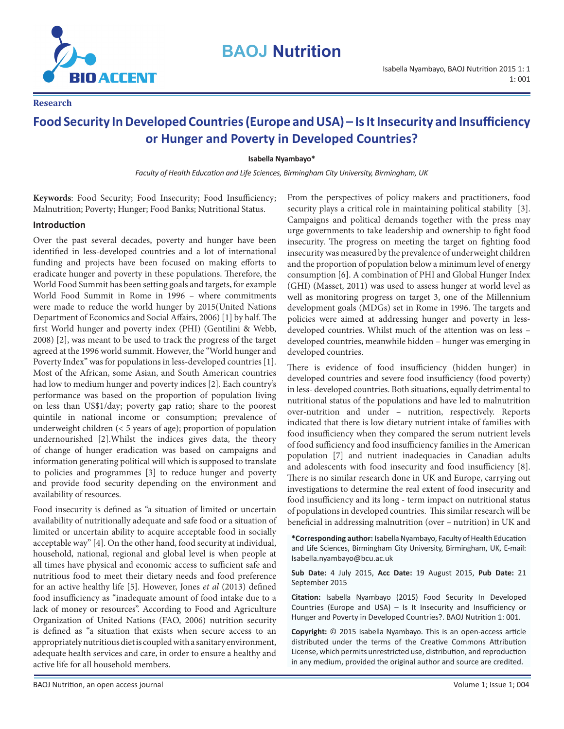

# **BAOJ Nutrition**

**Research**

# **Food Security In Developed Countries (Europe and USA) – Is It Insecurity and Insufficiency or Hunger and Poverty in Developed Countries?**

**Isabella Nyambayo\***

*Faculty of Health Education and Life Sciences, Birmingham City University, Birmingham, UK*

**Keywords**: Food Security; Food Insecurity; Food Insufficiency; Malnutrition; Poverty; Hunger; Food Banks; Nutritional Status.

#### **Introduction**

Over the past several decades, poverty and hunger have been identified in less-developed countries and a lot of international funding and projects have been focused on making efforts to eradicate hunger and poverty in these populations. Therefore, the World Food Summit has been setting goals and targets, for example World Food Summit in Rome in 1996 – where commitments were made to reduce the world hunger by 2015(United Nations Department of Economics and Social Affairs, 2006) [1] by half. The first World hunger and poverty index (PHI) (Gentilini & Webb, 2008) [2], was meant to be used to track the progress of the target agreed at the 1996 world summit. However, the "World hunger and Poverty Index" was for populations in less-developed countries [1]. Most of the African, some Asian, and South American countries had low to medium hunger and poverty indices [2]. Each country's performance was based on the proportion of population living on less than US\$1/day; poverty gap ratio; share to the poorest quintile in national income or consumption; prevalence of underweight children (< 5 years of age); proportion of population undernourished [2].Whilst the indices gives data, the theory of change of hunger eradication was based on campaigns and information generating political will which is supposed to translate to policies and programmes [3] to reduce hunger and poverty and provide food security depending on the environment and availability of resources.

Food insecurity is defined as "a situation of limited or uncertain availability of nutritionally adequate and safe food or a situation of limited or uncertain ability to acquire acceptable food in socially acceptable way" [4]. On the other hand, food security at individual, household, national, regional and global level is when people at all times have physical and economic access to sufficient safe and nutritious food to meet their dietary needs and food preference for an active healthy life [5]. However, Jones *et al* (2013) defined food insufficiency as "inadequate amount of food intake due to a lack of money or resources". According to Food and Agriculture Organization of United Nations (FAO, 2006) nutrition security is defined as "a situation that exists when secure access to an appropriately nutritious diet is coupled with a sanitary environment, adequate health services and care, in order to ensure a healthy and active life for all household members.

From the perspectives of policy makers and practitioners, food security plays a critical role in maintaining political stability [3]. Campaigns and political demands together with the press may urge governments to take leadership and ownership to fight food insecurity. The progress on meeting the target on fighting food insecurity was measured by the prevalence of underweight children and the proportion of population below a minimum level of energy consumption [6]. A combination of PHI and Global Hunger Index (GHI) (Masset, 2011) was used to assess hunger at world level as well as monitoring progress on target 3, one of the Millennium development goals (MDGs) set in Rome in 1996. The targets and policies were aimed at addressing hunger and poverty in lessdeveloped countries. Whilst much of the attention was on less – developed countries, meanwhile hidden – hunger was emerging in developed countries.

There is evidence of food insufficiency (hidden hunger) in developed countries and severe food insufficiency (food poverty) in less- developed countries. Both situations, equally detrimental to nutritional status of the populations and have led to malnutrition over-nutrition and under – nutrition, respectively. Reports indicated that there is low dietary nutrient intake of families with food insufficiency when they compared the serum nutrient levels of food sufficiency and food insufficiency families in the American population [7] and nutrient inadequacies in Canadian adults and adolescents with food insecurity and food insufficiency [8]. There is no similar research done in UK and Europe, carrying out investigations to determine the real extent of food insecurity and food insufficiency and its long - term impact on nutritional status of populations in developed countries. This similar research will be beneficial in addressing malnutrition (over – nutrition) in UK and

**\*Corresponding author:** Isabella Nyambayo, Faculty of Health Education and Life Sciences, Birmingham City University, Birmingham, UK, E-mail: Isabella.nyambayo@bcu.ac.uk

**Sub Date:** 4 July 2015, **Acc Date:** 19 August 2015, **Pub Date:** 21 September 2015

**Citation:** Isabella Nyambayo (2015) Food Security In Developed Countries (Europe and USA) – Is It Insecurity and Insufficiency or Hunger and Poverty in Developed Countries?. BAOJ Nutrition 1: 001.

**Copyright:** © 2015 Isabella Nyambayo. This is an open-access article distributed under the terms of the Creative Commons Attribution License, which permits unrestricted use, distribution, and reproduction in any medium, provided the original author and source are credited.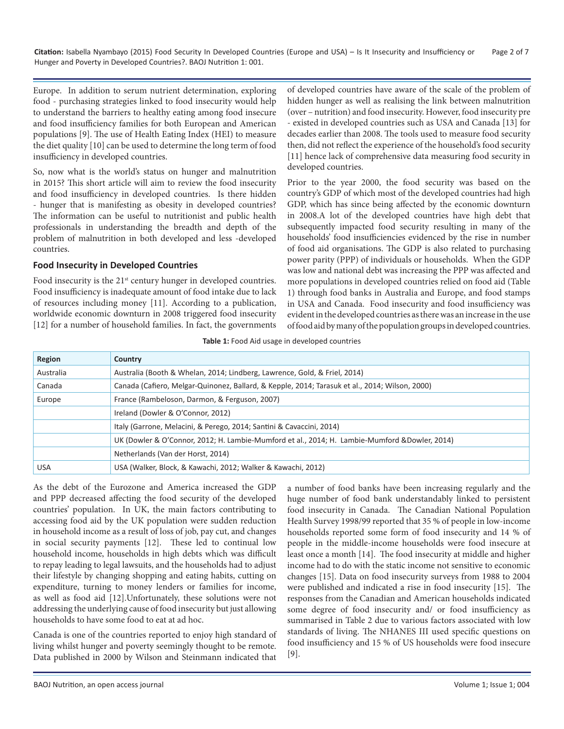**Citation:** Isabella Nyambayo (2015) Food Security In Developed Countries (Europe and USA) – Is It Insecurity and Insufficiency or Page 2 of 7 Hunger and Poverty in Developed Countries?. BAOJ Nutrition 1: 001.

Europe. In addition to serum nutrient determination, exploring food - purchasing strategies linked to food insecurity would help to understand the barriers to healthy eating among food insecure and food insufficiency families for both European and American populations [9]. The use of Health Eating Index (HEI) to measure the diet quality [10] can be used to determine the long term of food insufficiency in developed countries.

So, now what is the world's status on hunger and malnutrition in 2015? This short article will aim to review the food insecurity and food insufficiency in developed countries. Is there hidden - hunger that is manifesting as obesity in developed countries? The information can be useful to nutritionist and public health professionals in understanding the breadth and depth of the problem of malnutrition in both developed and less -developed countries.

## **Food Insecurity in Developed Countries**

Food insecurity is the 21<sup>st</sup> century hunger in developed countries. Food insufficiency is inadequate amount of food intake due to lack of resources including money [11]. According to a publication, worldwide economic downturn in 2008 triggered food insecurity [12] for a number of household families. In fact, the governments of developed countries have aware of the scale of the problem of hidden hunger as well as realising the link between malnutrition (over – nutrition) and food insecurity. However, food insecurity pre - existed in developed countries such as USA and Canada [13] for decades earlier than 2008. The tools used to measure food security then, did not reflect the experience of the household's food security [11] hence lack of comprehensive data measuring food security in developed countries.

Prior to the year 2000, the food security was based on the country's GDP of which most of the developed countries had high GDP, which has since being affected by the economic downturn in 2008.A lot of the developed countries have high debt that subsequently impacted food security resulting in many of the households' food insufficiencies evidenced by the rise in number of food aid organisations. The GDP is also related to purchasing power parity (PPP) of individuals or households. When the GDP was low and national debt was increasing the PPP was affected and more populations in developed countries relied on food aid (Table 1) through food banks in Australia and Europe, and food stamps in USA and Canada. Food insecurity and food insufficiency was evident in the developed countries as there was an increase in the use of food aid by many of the population groups in developed countries.

**Table 1:** Food Aid usage in developed countries

| Region     | Country                                                                                        |  |  |
|------------|------------------------------------------------------------------------------------------------|--|--|
| Australia  | Australia (Booth & Whelan, 2014; Lindberg, Lawrence, Gold, & Friel, 2014)                      |  |  |
| Canada     | Canada (Cafiero, Melgar-Quinonez, Ballard, & Kepple, 2014; Tarasuk et al., 2014; Wilson, 2000) |  |  |
| Europe     | France (Rambeloson, Darmon, & Ferguson, 2007)                                                  |  |  |
|            | Ireland (Dowler & O'Connor, 2012)                                                              |  |  |
|            | Italy (Garrone, Melacini, & Perego, 2014; Santini & Cavaccini, 2014)                           |  |  |
|            | UK (Dowler & O'Connor, 2012; H. Lambie-Mumford et al., 2014; H. Lambie-Mumford &Dowler, 2014)  |  |  |
|            | Netherlands (Van der Horst, 2014)                                                              |  |  |
| <b>USA</b> | USA (Walker, Block, & Kawachi, 2012; Walker & Kawachi, 2012)                                   |  |  |

As the debt of the Eurozone and America increased the GDP and PPP decreased affecting the food security of the developed countries' population. In UK, the main factors contributing to accessing food aid by the UK population were sudden reduction in household income as a result of loss of job, pay cut, and changes in social security payments [12]. These led to continual low household income, households in high debts which was difficult to repay leading to legal lawsuits, and the households had to adjust their lifestyle by changing shopping and eating habits, cutting on expenditure, turning to money lenders or families for income, as well as food aid [12].Unfortunately, these solutions were not addressing the underlying cause of food insecurity but just allowing households to have some food to eat at ad hoc.

Canada is one of the countries reported to enjoy high standard of living whilst hunger and poverty seemingly thought to be remote. Data published in 2000 by Wilson and Steinmann indicated that

a number of food banks have been increasing regularly and the huge number of food bank understandably linked to persistent food insecurity in Canada. The Canadian National Population Health Survey 1998/99 reported that 35 % of people in low-income households reported some form of food insecurity and 14 % of people in the middle-income households were food insecure at least once a month [14]. The food insecurity at middle and higher income had to do with the static income not sensitive to economic changes [15]. Data on food insecurity surveys from 1988 to 2004 were published and indicated a rise in food insecurity [15]. The responses from the Canadian and American households indicated some degree of food insecurity and/ or food insufficiency as summarised in Table 2 due to various factors associated with low standards of living. The NHANES III used specific questions on food insufficiency and 15 % of US households were food insecure [9].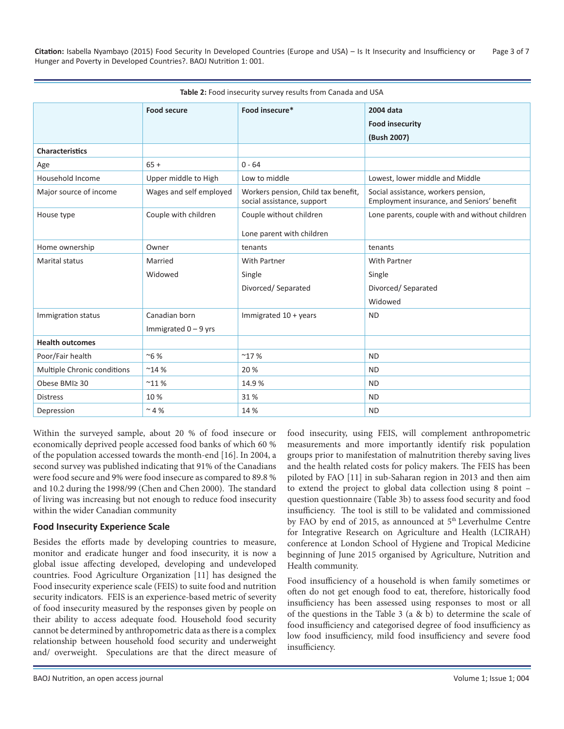Citation: Isabella Nyambayo (2015) Food Security In Developed Countries (Europe and USA) – Is It Insecurity and Insufficiency or Page 3 of 7 Hunger and Poverty in Developed Countries?. BAOJ Nutrition 1: 001.

| <b>Table 2:</b> Food insecurity survey results from Canada and USA |                         |                                                                   |                                                                                   |  |  |  |  |
|--------------------------------------------------------------------|-------------------------|-------------------------------------------------------------------|-----------------------------------------------------------------------------------|--|--|--|--|
|                                                                    | <b>Food secure</b>      | Food insecure*                                                    | 2004 data                                                                         |  |  |  |  |
|                                                                    |                         |                                                                   | <b>Food insecurity</b>                                                            |  |  |  |  |
|                                                                    |                         |                                                                   | (Bush 2007)                                                                       |  |  |  |  |
| <b>Characteristics</b>                                             |                         |                                                                   |                                                                                   |  |  |  |  |
| Age                                                                | $65+$                   | $0 - 64$                                                          |                                                                                   |  |  |  |  |
| Household Income                                                   | Upper middle to High    | Low to middle                                                     | Lowest, lower middle and Middle                                                   |  |  |  |  |
| Major source of income                                             | Wages and self employed | Workers pension, Child tax benefit,<br>social assistance, support | Social assistance, workers pension,<br>Employment insurance, and Seniors' benefit |  |  |  |  |
| House type                                                         | Couple with children    | Couple without children                                           | Lone parents, couple with and without children                                    |  |  |  |  |
|                                                                    |                         | Lone parent with children                                         |                                                                                   |  |  |  |  |
| Home ownership                                                     | Owner                   | tenants                                                           | tenants                                                                           |  |  |  |  |
| <b>Marital status</b>                                              | Married                 | <b>With Partner</b>                                               | <b>With Partner</b>                                                               |  |  |  |  |
|                                                                    | Widowed                 | Single                                                            | Single                                                                            |  |  |  |  |
|                                                                    |                         | Divorced/ Separated                                               | Divorced/ Separated                                                               |  |  |  |  |
|                                                                    |                         |                                                                   | Widowed                                                                           |  |  |  |  |
| Immigration status                                                 | Canadian born           | Immigrated 10 + years                                             | <b>ND</b>                                                                         |  |  |  |  |
|                                                                    | Immigrated $0 - 9$ yrs  |                                                                   |                                                                                   |  |  |  |  |
| <b>Health outcomes</b>                                             |                         |                                                                   |                                                                                   |  |  |  |  |
| Poor/Fair health                                                   | ~6%                     | $^{\sim}$ 17%                                                     | <b>ND</b>                                                                         |  |  |  |  |
| Multiple Chronic conditions                                        | ~14%                    | 20%                                                               | <b>ND</b>                                                                         |  |  |  |  |
| Obese BMI≥ 30                                                      | $^{\sim}$ 11 %          | 14.9%                                                             | <b>ND</b>                                                                         |  |  |  |  |
| <b>Distress</b>                                                    | 10%                     | 31%                                                               | <b>ND</b>                                                                         |  |  |  |  |
| Depression                                                         | $~^{\sim}$ 4 %          | 14 %                                                              | <b>ND</b>                                                                         |  |  |  |  |

**Table 2:** Food insecurity survey results from Canada and USA

Within the surveyed sample, about 20 % of food insecure or economically deprived people accessed food banks of which 60 % of the population accessed towards the month-end [16]. In 2004, a second survey was published indicating that 91% of the Canadians were food secure and 9% were food insecure as compared to 89.8 % and 10.2 during the 1998/99 (Chen and Chen 2000). The standard of living was increasing but not enough to reduce food insecurity within the wider Canadian community

#### **Food Insecurity Experience Scale**

Besides the efforts made by developing countries to measure, monitor and eradicate hunger and food insecurity, it is now a global issue affecting developed, developing and undeveloped countries. Food Agriculture Organization [11] has designed the Food insecurity experience scale (FEIS) to suite food and nutrition security indicators. FEIS is an experience-based metric of severity of food insecurity measured by the responses given by people on their ability to access adequate food. Household food security cannot be determined by anthropometric data as there is a complex relationship between household food security and underweight and/ overweight. Speculations are that the direct measure of food insecurity, using FEIS, will complement anthropometric measurements and more importantly identify risk population groups prior to manifestation of malnutrition thereby saving lives and the health related costs for policy makers. The FEIS has been piloted by FAO [11] in sub-Saharan region in 2013 and then aim to extend the project to global data collection using 8 point – question questionnaire (Table 3b) to assess food security and food insufficiency. The tool is still to be validated and commissioned by FAO by end of 2015, as announced at 5<sup>th</sup> Leverhulme Centre for Integrative Research on Agriculture and Health (LCIRAH) conference at London School of Hygiene and Tropical Medicine beginning of June 2015 organised by Agriculture, Nutrition and Health community.

Food insufficiency of a household is when family sometimes or often do not get enough food to eat, therefore, historically food insufficiency has been assessed using responses to most or all of the questions in the Table 3 (a & b) to determine the scale of food insufficiency and categorised degree of food insufficiency as low food insufficiency, mild food insufficiency and severe food insufficiency.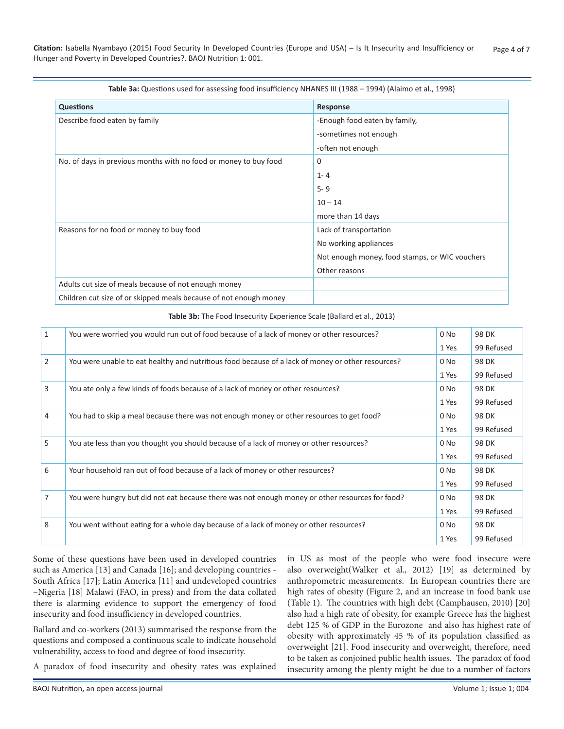| Table 3a: Questions used for assessing food insufficiency NHANES III (1988 - 1994) (Alaimo et al., 1998) |                                                |  |  |  |  |
|----------------------------------------------------------------------------------------------------------|------------------------------------------------|--|--|--|--|
| <b>Questions</b>                                                                                         | Response                                       |  |  |  |  |
| Describe food eaten by family                                                                            | -Enough food eaten by family,                  |  |  |  |  |
|                                                                                                          | -sometimes not enough                          |  |  |  |  |
|                                                                                                          | -often not enough                              |  |  |  |  |
| No. of days in previous months with no food or money to buy food                                         | 0                                              |  |  |  |  |
|                                                                                                          | $1 - 4$                                        |  |  |  |  |
|                                                                                                          | $5 - 9$                                        |  |  |  |  |
|                                                                                                          | $10 - 14$                                      |  |  |  |  |
|                                                                                                          | more than 14 days                              |  |  |  |  |
| Reasons for no food or money to buy food                                                                 | Lack of transportation                         |  |  |  |  |
|                                                                                                          | No working appliances                          |  |  |  |  |
|                                                                                                          | Not enough money, food stamps, or WIC vouchers |  |  |  |  |
|                                                                                                          | Other reasons                                  |  |  |  |  |
| Adults cut size of meals because of not enough money                                                     |                                                |  |  |  |  |
| Children cut size of or skipped meals because of not enough money                                        |                                                |  |  |  |  |

| <b>Table 3b:</b> The Food Insecurity Experience Scale (Ballard et al., 2013) |  |
|------------------------------------------------------------------------------|--|
|                                                                              |  |

| $\mathbf{1}$   | You were worried you would run out of food because of a lack of money or other resources?         | 0 No   | 98 DK      |
|----------------|---------------------------------------------------------------------------------------------------|--------|------------|
|                |                                                                                                   | 1 Yes  | 99 Refused |
| $\overline{2}$ | You were unable to eat healthy and nutritious food because of a lack of money or other resources? | $0$ No | 98 DK      |
|                |                                                                                                   | 1 Yes  | 99 Refused |
| 3              | You ate only a few kinds of foods because of a lack of money or other resources?                  | 0 No   | 98 DK      |
|                |                                                                                                   | 1 Yes  | 99 Refused |
| 4              | You had to skip a meal because there was not enough money or other resources to get food?         | 0 No   | 98 DK      |
|                |                                                                                                   | 1 Yes  | 99 Refused |
| 5              | You ate less than you thought you should because of a lack of money or other resources?           | $0$ No | 98 DK      |
|                |                                                                                                   | 1 Yes  | 99 Refused |
| 6              | Your household ran out of food because of a lack of money or other resources?                     | 0 No   | 98 DK      |
|                |                                                                                                   | 1 Yes  | 99 Refused |
| $\overline{7}$ | You were hungry but did not eat because there was not enough money or other resources for food?   | $0$ No | 98 DK      |
|                |                                                                                                   | 1 Yes  | 99 Refused |
| 8              | You went without eating for a whole day because of a lack of money or other resources?            | 0 No   | 98 DK      |
|                |                                                                                                   | 1 Yes  | 99 Refused |

Some of these questions have been used in developed countries such as America [13] and Canada [16]; and developing countries - South Africa [17]; Latin America [11] and undeveloped countries –Nigeria [18] Malawi (FAO, in press) and from the data collated there is alarming evidence to support the emergency of food insecurity and food insufficiency in developed countries.

Ballard and co-workers (2013) summarised the response from the questions and composed a continuous scale to indicate household vulnerability, access to food and degree of food insecurity.

A paradox of food insecurity and obesity rates was explained

in US as most of the people who were food insecure were also overweight(Walker et al., 2012) [19] as determined by anthropometric measurements. In European countries there are high rates of obesity (Figure 2, and an increase in food bank use (Table 1). The countries with high debt (Camphausen, 2010) [20] also had a high rate of obesity, for example Greece has the highest debt 125 % of GDP in the Eurozone and also has highest rate of obesity with approximately 45 % of its population classified as overweight [21]. Food insecurity and overweight, therefore, need to be taken as conjoined public health issues. The paradox of food insecurity among the plenty might be due to a number of factors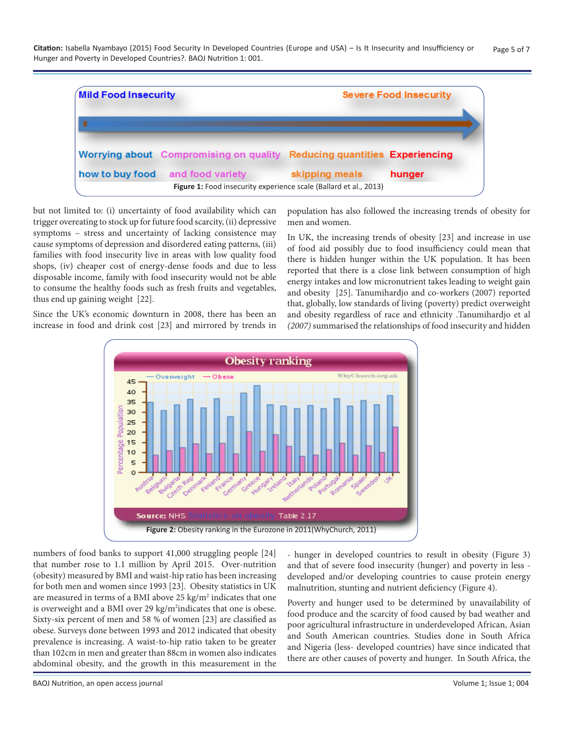Citation: Isabella Nyambayo (2015) Food Security In Developed Countries (Europe and USA) – Is It Insecurity and Insufficiency or Page 5 of 7 Hunger and Poverty in Developed Countries?. BAOJ Nutrition 1: 001.



but not limited to: (i) uncertainty of food availability which can trigger overeating to stock up for future food scarcity, (ii) depressive symptoms – stress and uncertainty of lacking consistence may cause symptoms of depression and disordered eating patterns, (iii) families with food insecurity live in areas with low quality food shops, (iv) cheaper cost of energy-dense foods and due to less disposable income, family with food insecurity would not be able to consume the healthy foods such as fresh fruits and vegetables, thus end up gaining weight [22].

Since the UK's economic downturn in 2008, there has been an increase in food and drink cost [23] and mirrored by trends in

population has also followed the increasing trends of obesity for men and women.

In UK, the increasing trends of obesity [23] and increase in use of food aid possibly due to food insufficiency could mean that there is hidden hunger within the UK population. It has been reported that there is a close link between consumption of high energy intakes and low micronutrient takes leading to weight gain and obesity [25]. Tanumihardjo and co-workers (2007) reported that, globally, low standards of living (poverty) predict overweight and obesity regardless of race and ethnicity .Tanumihardjo et al *(2007)* summarised the relationships of food insecurity and hidden



numbers of food banks to support 41,000 struggling people [24] that number rose to 1.1 million by April 2015. Over-nutrition (obesity) measured by BMI and waist-hip ratio has been increasing for both men and women since 1993 [23]. Obesity statistics in UK are measured in terms of a BMI above  $25 \text{ kg/m}^2$  indicates that one is overweight and a BMI over 29 kg/m<sup>2</sup>indicates that one is obese. Sixty-six percent of men and 58 % of women [23] are classified as obese. Surveys done between 1993 and 2012 indicated that obesity prevalence is increasing. A waist-to-hip ratio taken to be greater than 102cm in men and greater than 88cm in women also indicates abdominal obesity, and the growth in this measurement in the

- hunger in developed countries to result in obesity (Figure 3) and that of severe food insecurity (hunger) and poverty in less developed and/or developing countries to cause protein energy malnutrition, stunting and nutrient deficiency (Figure 4).

Poverty and hunger used to be determined by unavailability of food produce and the scarcity of food caused by bad weather and poor agricultural infrastructure in underdeveloped African, Asian and South American countries. Studies done in South Africa and Nigeria (less- developed countries) have since indicated that there are other causes of poverty and hunger. In South Africa, the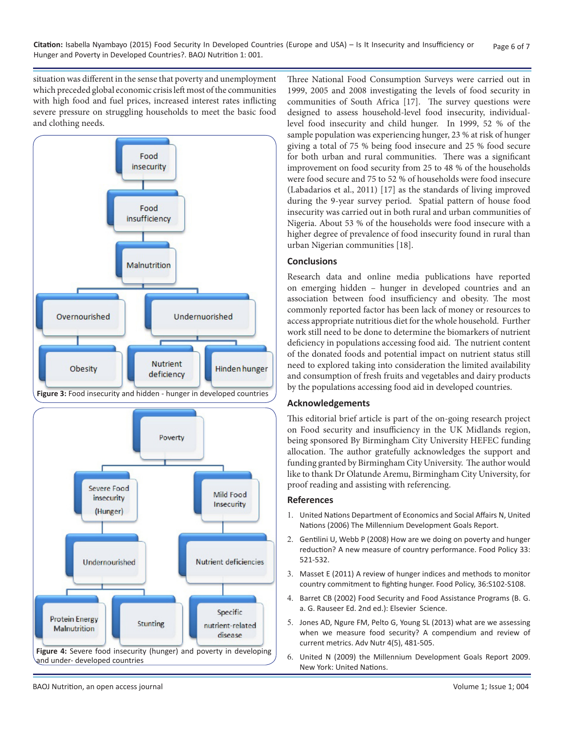situation was different in the sense that poverty and unemployment which preceded global economic crisis left most of the communities with high food and fuel prices, increased interest rates inflicting severe pressure on struggling households to meet the basic food and clothing needs.



Poverty Severe Food Mild Food insecurity Insecurity (Hunger) Undernourished Nutrient deficiencies Specific **Protein Energy** Stunting nutrient-related Malnutrition disease **Figure 4:** Severe food insecurity (hunger) and poverty in developing and under- developed countries

Three National Food Consumption Surveys were carried out in 1999, 2005 and 2008 investigating the levels of food security in communities of South Africa [17]. The survey questions were designed to assess household-level food insecurity, individuallevel food insecurity and child hunger. In 1999, 52 % of the sample population was experiencing hunger, 23 % at risk of hunger giving a total of 75 % being food insecure and 25 % food secure for both urban and rural communities. There was a significant improvement on food security from 25 to 48 % of the households were food secure and 75 to 52 % of households were food insecure (Labadarios et al., 2011) [17] as the standards of living improved during the 9-year survey period. Spatial pattern of house food insecurity was carried out in both rural and urban communities of Nigeria. About 53 % of the households were food insecure with a higher degree of prevalence of food insecurity found in rural than urban Nigerian communities [18].

## **Conclusions**

Research data and online media publications have reported on emerging hidden – hunger in developed countries and an association between food insufficiency and obesity. The most commonly reported factor has been lack of money or resources to access appropriate nutritious diet for the whole household. Further work still need to be done to determine the biomarkers of nutrient deficiency in populations accessing food aid. The nutrient content of the donated foods and potential impact on nutrient status still need to explored taking into consideration the limited availability and consumption of fresh fruits and vegetables and dairy products by the populations accessing food aid in developed countries.

#### **Acknowledgements**

This editorial brief article is part of the on-going research project on Food security and insufficiency in the UK Midlands region, being sponsored By Birmingham City University HEFEC funding allocation. The author gratefully acknowledges the support and funding granted by Birmingham City University. The author would like to thank Dr Olatunde Aremu, Birmingham City University, for proof reading and assisting with referencing.

# **References**

- 1. [United Nations Department of Economics and Social Affairs N, United](http://www.un.org/zh/millenniumgoals/pdf/MDGReport2006.pdf) Nations (2006) The Millennium Development Goals Report.
- 2. [Gentilini U, Webb P \(2008\) How are we doing on poverty and hunger](http://www.sciencedirect.com/science/article/pii/S0306919208000316)  reduction? A new measure of country performance. Food Policy 33: [521-532](http://www.sciencedirect.com/science/article/pii/S0306919208000316).
- 3. [Masset E \(2011\) A review of hunger indices and methods to monitor](http://www.sciencedirect.com/science/article/pii/S0306919210001211)  country commitment to fighting hunger. Food Policy, 36:S102-S108[.](http://www.sciencedirect.com/science/article/pii/S0306919210001211)
- 4. Barret CB (2002) Food Security and Food Assistance Programs (B. G. a. G. Rauseer Ed. 2nd ed.): Elsevier Science.
- 5. [Jones AD, Ngure FM, Pelto G, Young SL \(2013\) what are we assessing](http://advances.nutrition.org/content/4/5/481)  when we measure food security? A compendium and review of [current metrics. Adv Nutr 4\(5\), 481-505](http://advances.nutrition.org/content/4/5/481).
- 6. [United N \(2009\) the Millennium Development Goals Report 2009.](http://www.un.org/millenniumgoals/pdf/MDG_Report_2009_ENG.pdf)  New York: United Nations.